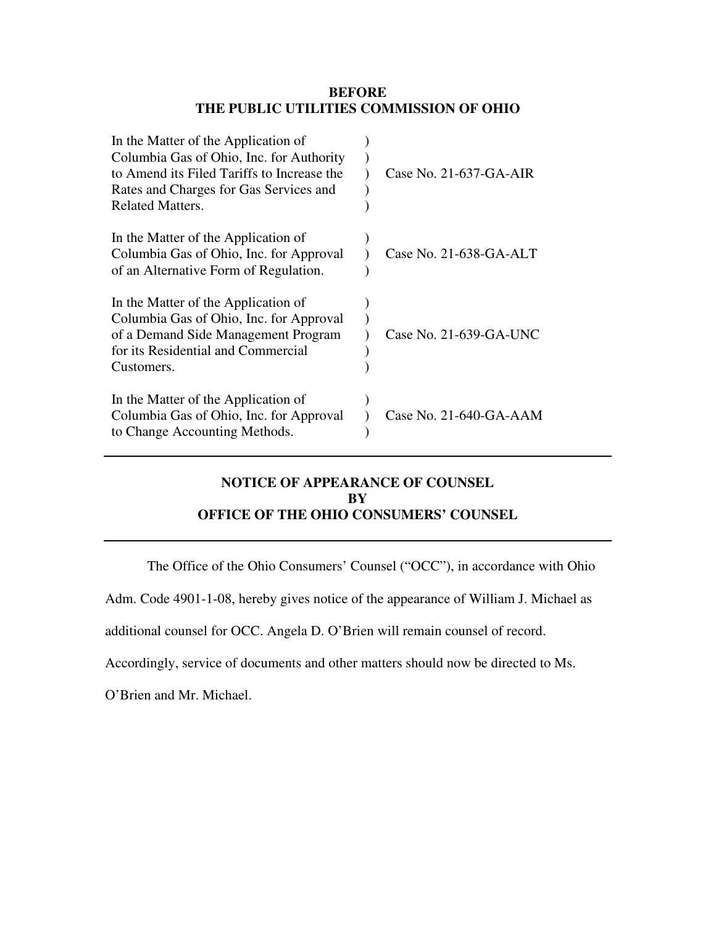#### **BEFORE THE PUBLIC UTILITIES COMMISSION OF OHIO**

| In the Matter of the Application of<br>Columbia Gas of Ohio, Inc. for Authority<br>to Amend its Filed Tariffs to Increase the<br>Rates and Charges for Gas Services and<br><b>Related Matters.</b> | Case No. 21-637-GA-AIR |
|----------------------------------------------------------------------------------------------------------------------------------------------------------------------------------------------------|------------------------|
| In the Matter of the Application of<br>Columbia Gas of Ohio, Inc. for Approval<br>of an Alternative Form of Regulation.                                                                            | Case No. 21-638-GA-ALT |
| In the Matter of the Application of<br>Columbia Gas of Ohio, Inc. for Approval<br>of a Demand Side Management Program<br>for its Residential and Commercial<br>Customers.                          | Case No. 21-639-GA-UNC |
| In the Matter of the Application of<br>Columbia Gas of Ohio, Inc. for Approval<br>to Change Accounting Methods.                                                                                    | Case No. 21-640-GA-AAM |

### **NOTICE OF APPEARANCE OF COUNSEL BY OFFICE OF THE OHIO CONSUMERS' COUNSEL**

The Office of the Ohio Consumers' Counsel ("OCC"), in accordance with Ohio

Adm. Code 4901-1-08, hereby gives notice of the appearance of William J. Michael as

additional counsel for OCC. Angela D. O'Brien will remain counsel of record.

Accordingly, service of documents and other matters should now be directed to Ms.

O'Brien and Mr. Michael.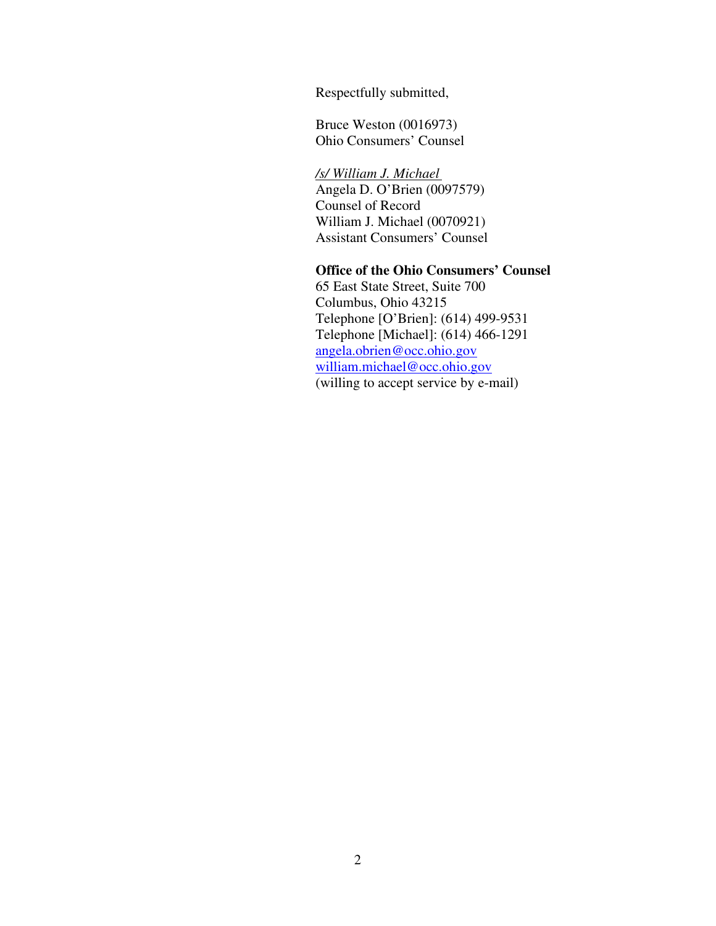Respectfully submitted,

Bruce Weston (0016973) Ohio Consumers' Counsel

*/s/ William J. Michael*  Angela D. O'Brien (0097579) Counsel of Record William J. Michael (0070921) Assistant Consumers' Counsel

### **Office of the Ohio Consumers' Counsel**

65 East State Street, Suite 700 Columbus, Ohio 43215 Telephone [O'Brien]: (614) 499-9531 Telephone [Michael]: (614) 466-1291 angela.obrien@occ.ohio.gov william.michael@occ.ohio.gov (willing to accept service by e-mail)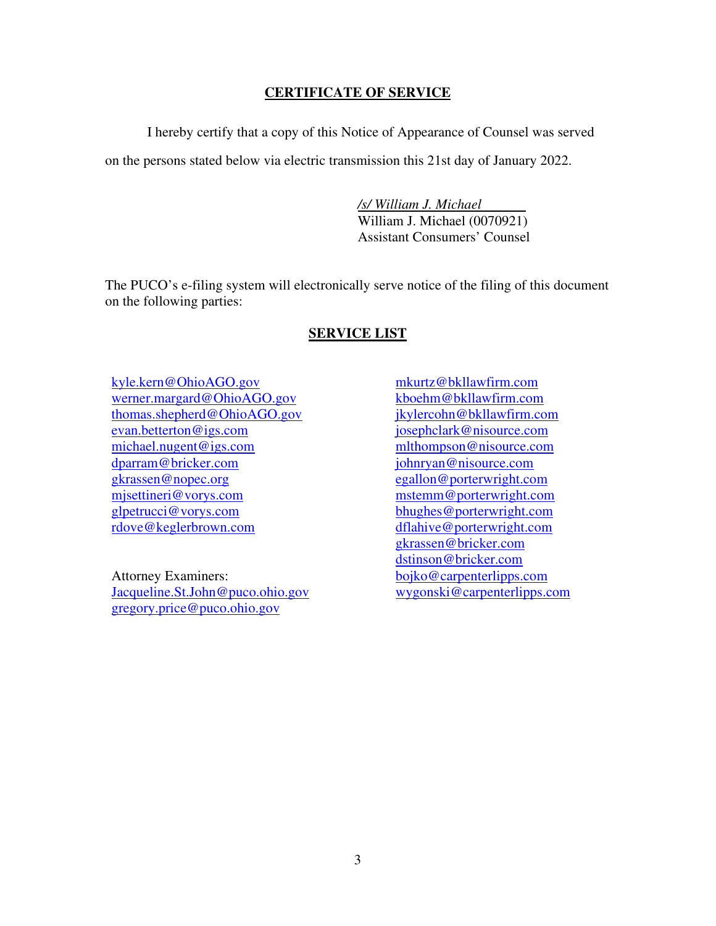### **CERTIFICATE OF SERVICE**

I hereby certify that a copy of this Notice of Appearance of Counsel was served on the persons stated below via electric transmission this 21st day of January 2022.

> */s/ William J. Michael*  William J. Michael (0070921) Assistant Consumers' Counsel

The PUCO's e-filing system will electronically serve notice of the filing of this document on the following parties:

#### **SERVICE LIST**

kyle.kern@OhioAGO.gov werner.margard@OhioAGO.gov thomas.shepherd@OhioAGO.gov evan.betterton@igs.com michael.nugent@igs.com dparram@bricker.com gkrassen@nopec.org mjsettineri@vorys.com glpetrucci@vorys.com rdove@keglerbrown.com

Attorney Examiners: Jacqueline.St.John@puco.ohio.gov gregory.price@puco.ohio.gov

mkurtz@bkllawfirm.com kboehm@bkllawfirm.com jkylercohn@bkllawfirm.com josephclark@nisource.com mlthompson@nisource.com johnryan@nisource.com egallon@porterwright.com mstemm@porterwright.com bhughes@porterwright.com dflahive@porterwright.com gkrassen@bricker.com dstinson@bricker.com bojko@carpenterlipps.com wygonski@carpenterlipps.com